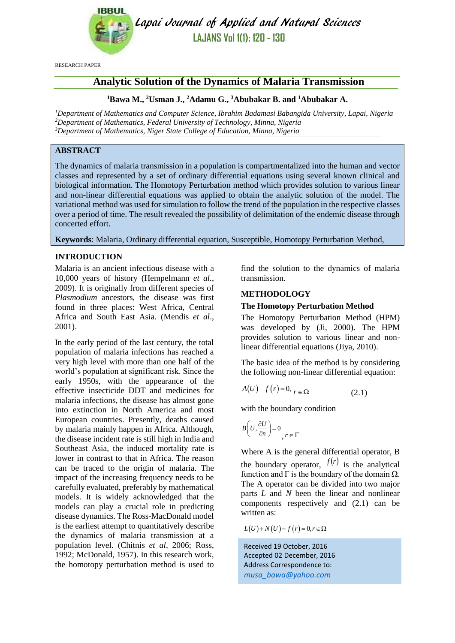

Lapai Journal of Applied and Natural Sciences **LAJANS Vol 1(1): 120 - 130**

RESEARCH PAPER

# **Analytic Solution of the Dynamics of Malaria Transmission**

### **<sup>1</sup>Bawa M., <sup>2</sup>Usman J., <sup>2</sup>Adamu G., <sup>3</sup>Abubakar B. and <sup>1</sup>Abubakar A.**

*<sup>1</sup>Department of Mathematics and Computer Science, Ibrahim Badamasi Babangida University, Lapai, Nigeria <sup>2</sup>Department of Mathematics, Federal University of Technology, Minna, Nigeria <sup>3</sup>Department of Mathematics, Niger State College of Education, Minna, Nigeria*

# **ABSTRACT**

The dynamics of malaria transmission in a population is compartmentalized into the human and vector classes and represented by a set of ordinary differential equations using several known clinical and biological information. The Homotopy Perturbation method which provides solution to various linear and non-linear differential equations was applied to obtain the analytic solution of the model. The variational method was used for simulation to follow the trend of the population in the respective classes over a period of time. The result revealed the possibility of delimitation of the endemic disease through concerted effort.

**Keywords**: Malaria, Ordinary differential equation, Susceptible, Homotopy Perturbation Method,

# **INTRODUCTION**

Malaria is an ancient infectious disease with a 10,000 years of history (Hempelmann *et al.*, 2009). It is originally from different species of *Plasmodium* ancestors, the disease was first found in three places: West Africa, Central Africa and South East Asia. (Mendis *et al*., 2001).

In the early period of the last century, the total population of malaria infections has reached a very high level with more than one half of the world's population at significant risk. Since the early 1950s, with the appearance of the effective insecticide DDT and medicines for malaria infections, the disease has almost gone into extinction in North America and most European countries. Presently, deaths caused by malaria mainly happen in Africa. Although, the disease incident rate is still high in India and Southeast Asia, the induced mortality rate is lower in contrast to that in Africa. The reason can be traced to the origin of malaria. The impact of the increasing frequency needs to be carefully evaluated, preferably by mathematical models. It is widely acknowledged that the models can play a crucial role in predicting disease dynamics. The Ross-MacDonald model is the earliest attempt to quantitatively describe the dynamics of malaria transmission at a population level. (Chitnis *et al*, 2006; Ross, 1992; McDonald, 1957). In this research work, the homotopy perturbation method is used to find the solution to the dynamics of malaria transmission.

# **METHODOLOGY**

# **The Homotopy Perturbation Method**

The Homotopy Perturbation Method (HPM) was developed by (Ji, 2000). The HPM provides solution to various linear and nonlinear differential equations (Jiya, 2010).

The basic idea of the method is by considering the following non-linear differential equation:

$$
A(U) - f(r) = 0, \, r \in \Omega \tag{2.1}
$$

with the boundary condition

$$
B\left(U, \frac{\partial U}{\partial n}\right) = 0, r \in \Gamma
$$

Where A is the general differential operator, B the boundary operator,  $f(r)$  is the analytical function and  $\Gamma$  is the boundary of the domain  $\Omega$ . The A operator can be divided into two major parts *L* and *N* been the linear and nonlinear components respectively and (2.1) can be written as:

 $L(U) + N(U) - f(r) = 0, r \in \Omega$ 

Received 19 October, 2016 Accepted 02 December, 2016 Address Correspondence to: *[musa\\_bawa@yahoo.com](mailto:musa_bawa@yahoo.com)*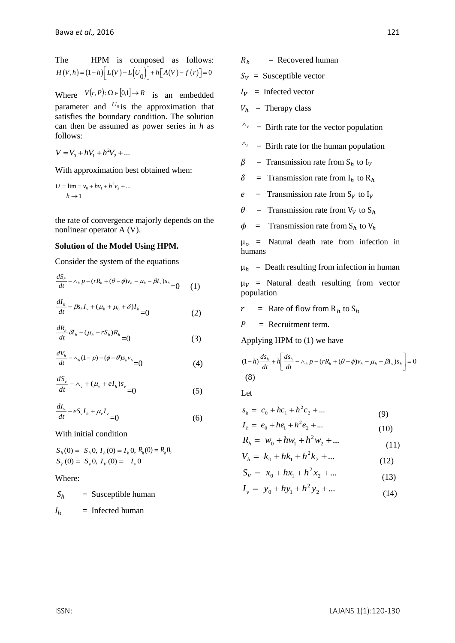The HPM is composed as follows:  

$$
H(V,h) = (1-h)\left[L(V) - L(U_0)\right] + h\left[A(V) - f(r)\right] = 0
$$

Where  $V(r, P): \Omega \in [0,1] \to R$  is an embedded parameter and  $U_0$  is the approximation that satisfies the boundary condition. The solution can then be assumed as power series in *h* as follows:

$$
V = V_0 + hV_1 + h^2V_2 + \dots
$$

With approximation best obtained when:

$$
U = \lim_{h \to 1} \frac{1}{h} v_0 + h v_1 + h^2 v_2 + \dots
$$

the rate of convergence majorly depends on the nonlinear operator A (V).

#### **Solution of the Model Using HPM.**

Consider the system of the equations

$$
\frac{dS_h}{dt} - \wedge_h p - (rR_h + (\theta - \phi)v_h - \mu_h - \beta I_v)s_h = 0 \qquad (1)
$$

$$
\frac{dI_h}{dt} - \beta s_h I_v + (\mu_h + \mu_0 + \delta) I_h = 0
$$
 (2)

$$
\frac{dR_h}{dt}\delta I_h - (\mu_h - rS_h)R_h = 0 \tag{3}
$$

$$
\frac{dV_h}{dt} - \wedge_h (1-p) - (\phi - \theta) s_h v_h = 0 \tag{4}
$$

$$
\frac{dS_v}{dt} - \wedge_v + (\mu_v + eI_h)s_v = 0 \tag{5}
$$

$$
\frac{dI_v}{dt} - eS_v I_h + \mu_v I_v = 0 \tag{6}
$$

With initial condition

$$
S_h(0) = S_h 0, I_h(0) = I_h 0, R_h(0) = R_h 0,
$$
  
\n
$$
S_V(0) = S_v 0, I_V(0) = I_v 0
$$

Where:

 $S_h$  = Susceptible human  $I_h$  = Infected human

$$
R_h = \text{Recovered human}
$$

- $S_V =$  Susceptible vector
- $I_V$  = Infected vector
- $V_h$  = Therapy class
- $\lambda_{\nu}$  = Birth rate for the vector population
- $\wedge_h$ = Birth rate for the human population
- $\beta$  = Transmission rate from S<sub>h</sub> to I<sub>V</sub>
- $\delta$  = Transmission rate from I<sub>h</sub> to R<sub>h</sub>
- $e$  = Transmission rate from  $S_V$  to  $I_V$
- $\theta$  = Transmission rate from V<sub>V</sub> to S<sub>h</sub>
- $\phi$  = Transmission rate from S<sub>h</sub> to V<sub>h</sub>

 $\mu_0$  = Natural death rate from infection in humans

 $\mu_h$  = Death resulting from infection in human

 $\mu_V$  = Natural death resulting from vector population

 $r =$  Rate of flow from  $R_h$  to  $S_h$ 

 $P =$  Recruitment term.

Applying HPM to (1) we have

$$
(1-h)\frac{ds_h}{dt} + h\left[\frac{ds_h}{dt} - \wedge_h p - (rR_h + (\theta - \phi)v_h - \mu_h - \beta I_v)s_h\right] = 0
$$
\n(8)

Let

$$
s_h = c_0 + hc_1 + h^2 c_2 + \dots
$$
 (9)

$$
I_h = e_0 + he_1 + h^2 e_2 + ...
$$
  
\n
$$
P = w_1 + hv_1 + h^2 w_2 + ...
$$
 (10)

$$
K_h = W_0 + hw_1 + h^-W_2 + \dots \tag{11}
$$

$$
V_h = k_0 + hk_1 + h^2 k_2 + \dots \tag{12}
$$

$$
S_V = x_0 + hx_1 + h^2 x_2 + \dots \tag{13}
$$

$$
I_{\nu} = y_0 + hy_1 + h^2 y_2 + \dots \tag{14}
$$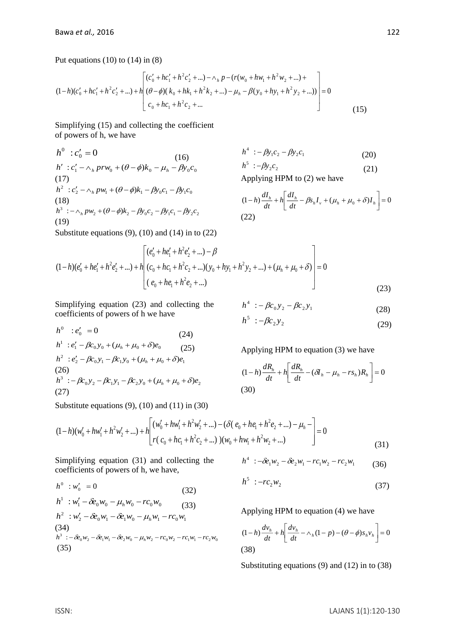(17)

(18)

(19)

Put equations  $(10)$  to  $(14)$  in  $(8)$ 

$$
(1-h)(c'_{0}+hc'_{1}+h^{2}c'_{2}+...) + h\left[\frac{(c'_{0}+hc'_{1}+h^{2}c'_{2}+...) - \wedge_{h} p - (r(w_{0}+hw_{1}+h^{2}w_{2}+...) + (1-h)(c'_{0}+hc'_{1}+h^{2}c'_{2}+...) - \mu_{h} - \beta(y_{0}+hy_{1}+h^{2}y_{2}+...) \right] = 0
$$
  
(15)

Simplifying (15) and collecting the coefficient of powers of h, we have

$$
h^{0} : c'_{0} = 0
$$
  
\n
$$
h' : c'_{1} - \wedge_{h} pr w_{0} + (\theta - \phi)k_{0} - \mu_{h} - \beta y_{0}c_{0}
$$
  
\n
$$
h' : -\beta y_{1}c_{2} - \beta y_{2}c_{1}
$$
  
\n
$$
h^{5} : -\beta y_{2}c_{2}
$$
\n
$$
h^{6} : -\beta y_{1}c_{2}
$$
\n
$$
h^{7} : -\beta y_{2}c_{2}
$$
\n
$$
(21)
$$

Applying HPM to (2) we have

$$
(1-h)\frac{dI_h}{dt} + h \left[ \frac{dI_h}{dt} - \beta s_h I_v + (\mu_h + \mu_0 + \delta) I_h \right] = 0
$$
\n(22)

Substitute equations  $(9)$ ,  $(10)$  and  $(14)$  in to  $(22)$ 

 $h^2$  :  $c'_2 - \wedge_h p w_1 + (\theta - \phi) k_1 - \beta y_0 c_1 - \beta y_1 c_0$ 

 $h^3$  :  $-\wedge_h pw_2 + (\theta - \phi)k_2 - \beta y_0 c_2 - \beta y_1 c_1 - \beta y_2 c_2$ 

$$
(1-h)(e'_0 + he'_1 + h^2e'_2 + ... ) + h\left[ \frac{(e'_0 + he'_1 + h^2e'_2 + ... ) - \beta}{(c_0 + he_1 + h^2c_2 + ...)(y_0 + hy_1 + h^2y_2 + ... ) + (\mu_h + \mu_0 + \delta)} \right] = 0
$$
\n(23)

Simplifying equation (23) and collecting the coefficients of powers of h we have

$$
h^{0} : e'_{0} = 0
$$
\n
$$
h^{1} : e'_{1} - \beta c_{0} y_{0} + (\mu_{h} + \mu_{0} + \delta) e_{0}
$$
\n
$$
h^{2} : e'_{2} - \beta c_{0} y_{1} - \beta c_{1} y_{0} + (\mu_{h} + \mu_{0} + \delta) e_{1}
$$
\n(26)\n
$$
h^{3} : -\beta c_{0} y_{2} - \beta c_{1} y_{1} - \beta c_{2} y_{0} + (\mu_{h} + \mu_{0} + \delta) e_{2}
$$
\n(27)

$$
h^4 := \beta c_0 y_2 - \beta c_2 y_1 \tag{28}
$$

$$
h^5 : -\beta c_2 y_2 \tag{29}
$$

Applying HPM to equation (3) we have

$$
(1-h)\frac{dR_h}{dt} + h\left[\frac{dR_h}{dt} - (\delta I_h - \mu_h - rs_h)R_h\right] = 0
$$
\n(30)

Substitute equations  $(9)$ ,  $(10)$  and  $(11)$  in  $(30)$ 

$$
(1-h)(w'_0 + hw'_1 + h^2w'_2 + ...) + h\left[\frac{(w'_0 + hw'_1 + h^2w'_2 + ...) - (\delta(e_0 + he_1 + h^2e_2 + ...) - \mu_h -) - \mu_h - \delta(e_0 + he_1 + h^2e_2 + ...) - \mu_h - \delta(e_0 + he_1 + h^2e_2 + ...)}{r(c_0 + hc_1 + h^2c_2 + ...) - (\mu_h + h^2w'_2 + ...)}\right]
$$
\n
$$
(31)
$$

Simplifying equation (31) and collecting the coefficients of powers of h, we have,

$$
h^{4} : -\delta e_{1}w_{2} - \delta e_{2}w_{1} - rc_{1}w_{2} - rc_{2}w_{1}
$$
 (36)

$$
h^5 : -r c_2 w_2 \tag{37}
$$

Applying HPM to equation (4) we have

$$
(1-h)\frac{dv_h}{dt} + h\left[\frac{dv_h}{dt} - \wedge_h(1-p) - (\theta - \phi)s_h v_h\right] = 0
$$
\n(38)

Substituting equations (9) and (12) in to (38)

 $h^0$  :  $w'_0$  = 0 (32)

$$
h^{1}: w'_{1} - \hat{\alpha}_{0}w_{0} - \mu_{h}w_{0} - rc_{0}w_{0}
$$
\n
$$
h^{2}: w'_{2} - \hat{\alpha}_{0}w_{1} - \hat{\alpha}_{1}w_{0} - \mu_{h}w_{1} - rc_{0}w_{1}
$$
\n(34)\n
$$
h^{3} := \hat{\alpha}_{0}w_{2} - \hat{\alpha}_{1}w_{1} - \hat{\alpha}_{2}w_{0} - \mu_{h}w_{2} - rc_{0}w_{2} - rc_{1}w_{1} - rc_{2}w_{0}
$$
\n(35)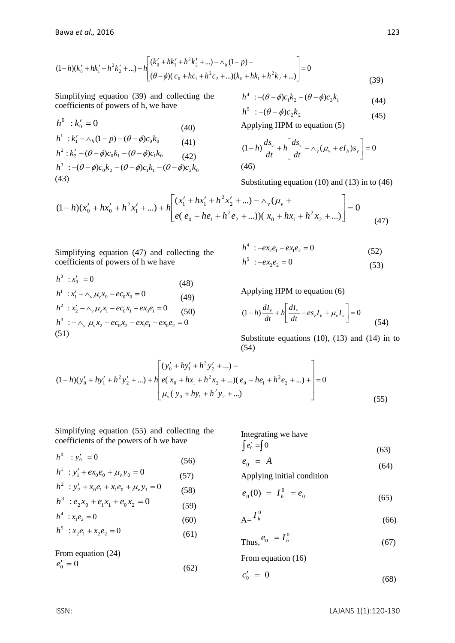$$
(1-h)(k'_{0}+hk'_{1}+h^{2}k'_{2}+...) + h \left[ \frac{(k'_{0}+hk'_{1}+h^{2}k'_{2}+...) - \wedge_{h}(1-p) - (h^{2}+h^{2}+)h^{2}k'_{2}+...) - \wedge h(1-p) - (h^{2}+h^{2}+h^{2}+)h^{2}k'_{2}+...}{(\theta-\phi)(c_{0}+hc_{1}+h^{2}c_{2}+...)k'_{0}+hk_{1}+h^{2}k'_{2}+...)} \right] = 0
$$
\n(39)

Simplifying equation (39) and collecting the coefficients of powers of h, we have

$$
h^{0}: k'_{0} = 0
$$
\n
$$
h^{1}: k'_{1} - \wedge_{h} (1-p) - (\theta - \phi)c_{0}k_{0}
$$
\n
$$
h^{2}: k'_{2} - (\theta - \phi)c_{0}k_{1} - (\theta - \phi)c_{1}k_{0}
$$
\n
$$
h^{3}: -(\theta - \phi)c_{0}k_{2} - (\theta - \phi)c_{1}k_{1} - (\theta - \phi)c_{2}k_{0}
$$
\n
$$
h^{3}
$$
\n
$$
+ (\theta - \phi)c_{0}k_{2} - (\theta - \phi)c_{1}k_{1} - (\theta - \phi)c_{2}k_{0}
$$
\n
$$
+ (\theta - \phi)c_{0}k_{2} - (\theta - \phi)c_{1}k_{1} - (\theta - \phi)c_{2}k_{0}
$$
\n
$$
+ (\theta - \phi)c_{0}k_{2} - (\theta - \phi)c_{1}k_{1} - (\theta - \phi)c_{2}k_{0}
$$

$$
h^4 : -(\theta - \phi)c_1k_2 - (\theta - \phi)c_2k_1 \tag{44}
$$

$$
h^5:-(\theta-\phi)c_2k_2\tag{45}
$$

Applying HPM to equation (5)

$$
(1-h)\frac{ds_v}{dt} + h\left[\frac{ds_v}{dt} - \wedge_v(\mu_v + eI_h)s_v\right] = 0
$$
\n(46)

Substituting equation (10) and (13) in to (46)

$$
(1-h)(x'_{0}+hx'_{0}+h^{2}x'_{1}+...) + h\left[\frac{(x'_{1}+hx'_{1}+h^{2}x'_{2}+...) - \wedge_{\nu}(\mu_{\nu} + \mu^{2}x'_{2}+...) (x_{0}+hx_{1}+h^{2}x_{2}+...)}{e(e_{0}+he_{1}+h^{2}e_{2}+...))(x_{0}+hx_{1}+h^{2}x_{2}+...) \right] = 0
$$
\n(47)

Simplifying equation (47) and collecting the coefficients of powers of h we have

$$
h^{0}: x'_{0} = 0
$$
\n
$$
(48)
$$
\n
$$
h^{1}: x'_{1} - \wedge_{\nu} \mu_{\nu} x_{0} - e c_{0} x_{0} = 0
$$
\n
$$
h^{2}: x'_{2} - \wedge_{\nu} \mu_{\nu} x_{1} - e c_{0} x_{1} - e x_{0} e_{1} = 0
$$
\n
$$
h^{3}: -\wedge_{\nu} \mu_{\nu} x_{2} - e c_{0} x_{2} - e x_{1} e_{1} - e x_{0} e_{2} = 0
$$
\n
$$
(51)
$$
\n
$$
(51)
$$

$$
h4 : -ex2e1 - ex1e2 = 0
$$
 (52)  

$$
h5 : -ex2e2 = 0
$$
 (53)

Applying HPM to equation (6)

$$
(1-h)\frac{dI_{\nu}}{dt} + h \left[ \frac{dI_{\nu}}{dt} - es_{\nu}I_{h} + \mu_{\nu}I_{\nu} \right] = 0
$$
\n(54)

Substitute equations (10), (13) and (14) in to (54)

$$
(1-h)(y'_{0} + hy'_{1} + h^{2}y'_{2} + ...) + h\left[e(y'_{0} + hy'_{1} + h^{2}y'_{2} + ...) - e(x_{0} + hk_{1} + h^{2}x_{2} + ...)(e_{0} + he_{1} + h^{2}e_{2} + ...) + \frac{1}{2}e(x_{0} + hy'_{1} + h^{2}y'_{2} + ...)
$$
\n
$$
(55)
$$

(56)

(57)

(58)

(59)

(60)

(61)

Simplifying equation (55) and collecting the coefficients of the powers of h we have

Integrating we have  $\int e'_{0} = \int 0$ 

$$
e_0 = 10
$$
\n
$$
e_0 = A
$$
\n(63)\n(64)

Applying initial condition

$$
e_0(0) = I_h^0 = e_0 \tag{65}
$$

$$
A = \frac{I_h^0}{I}
$$
 (66)

$$
Thus, e_0 = I_h^0 \tag{67}
$$

From equation (16)

$$
c_0' = 0 \tag{68}
$$

From equation 
$$
(24)
$$

 $h^5$  :  $x_2e_1 + x_2e_2 = 0$ 

 $h^0$  :  $y'_0$  = 0

 $h^4$  :  $x_1e_2 = 0$ 

 $h^1$  :  $y'_1 + ex_0e_0 + \mu_y y_0 = 0$ 

 $h^3$  :  $e_2x_0 + e_1x_1 + e_0x_2 = 0$ 

 $h^2$  :  $y'_2 + x_0 e_1 + x_1 e_0 + \mu_v y_1 = 0$ 

$$
e_0' = 0\tag{62}
$$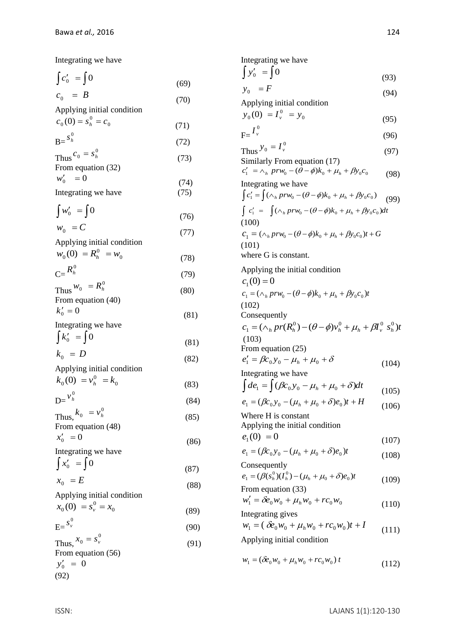Integrating we have

$$
\int_{C_0}^{C_0} = \int_{C_0}^{C_0} = B \tag{69}
$$

(70)

(77)

(83)

Applying initial condition

$$
c_0(0) = s_h^0 = c_0
$$
 (71)

 $B = \frac{S_h}{B}$  (72) Thus  $c_0 = s_h^0$  $c_0 = s_h$  (73)

From equation (32)  
\n
$$
w'_0 = 0
$$
\n(74)

Integrating we have (75)

$$
\int w'_0 = \int 0 \tag{76}
$$

$$
w_0 = C \tag{77}
$$

Applying initial condition

$$
w_0(0) = R_h^0 = w_0 \tag{78}
$$

$$
C = \frac{R_h^0}{\sqrt{3}} \tag{79}
$$

 $\text{Thus } W_0 = R_h^0$  (80) From equation (40)

$$
k'_0 = 0 \tag{81}
$$

Integrating we have

$$
\int k'_0 = \int 0
$$
\n
$$
k_0 = D
$$
\n(81)\n(82)

Applying initial condition 0 0  $k_0(0) = v_h^0 = k$ 

$$
D = \frac{v_h^0}{}
$$
 (84)

Thus,  $k_0 = v_h^0$  $k_0 = v_h^0$  (85) From equation (48)

 $x'_0$  = 0 (86) Integrating we have  $\int x'_0$  =  $\int$  0

$$
x_0 = E \tag{87}
$$

Applying initial condition

0 0  $x_0(0) = s_v^0 = x$ (89)

$$
E = \frac{s_v^0}{2}
$$
 (90)

Thus,  $x_0 = s_v^0$  $x_{0} = s_{v}$  (91) From equation (56)  $y'_0 = 0$ (92)

Integrating we have  $\int y'_0$  =  $\int$  0 (93)  $y_0 = F$  (94) Applying initial condition  $\mathbf{0}$ 0  $y_0(0) = I_y^0 = y$  (95)  $F=^{\frac{I^0}{\nu}}$  $I_{\nu}$  (96) Thus  $y_0 = I_v^0$  $y_0 = I_y$  (97) Similarly From equation (17)  $c'_1 = \wedge_h pr w_0 - (\theta - \phi)k_0 + \mu_h + \beta y_0 c_0$  (98) Integrating we have  $\int c'_1 = \int (\wedge_h pr w_0 - (\theta - \phi)k_0 + \mu_h + \beta y_0 c_0)$  $(99)$  $\int c'_1 = \int (\wedge_h pr w_0 - (\theta - \phi)k_0 + \mu_h + \beta y_0 c_0) dt$ (100)  $c_1 = (\wedge_h pr w_0 - (\theta - \phi)k_0 + \mu_h + \beta y_0 c_0)t + G$ (101) where G is constant. Applying the initial condition  $c_1(0) = 0$  $c_1 = (\wedge_h pr w_0 - (\theta - \phi)k_0 + \mu_h + \beta y_0 c_0)t$ (102) Consequently  $c_1 = (\wedge_h pr(R_h^0) - (\theta - \phi)v_h^0 + \mu_h + \beta I_v^0 s_h^0)t$  $(103)$ From equation (25)  $e'_1 = \beta c_0 y_0 - \mu_h + \mu_0 + \delta$  (104) Integrating we have  $\int d\mathbf{e}_1 = \int (\beta c_0 y_0 - \mu_h + \mu_0 + \delta) dt$  (105)  $e_1 = (\beta c_0 y_0 - (\mu_h + \mu_0 + \delta) e_0)t + H$  (106) Where H is constant Applying the initial condition  $e_1(0) = 0$ (107)

$$
e_1 = (\beta c_0 y_0 - (\mu_h + \mu_0 + \delta) e_0)t
$$
\n(108)

Consequently  
\n
$$
e_1 = (\beta(s_h^0)(I_h^0) - (\mu_h + \mu_0 + \delta)e_0)t
$$
\nFrom equation (33) (109)

From equation (33)  
\n
$$
w'_1 = \delta e_0 w_0 + \mu_h w_0 + r c_0 w_0
$$
\n
$$
\text{Integrating gives } (110)
$$

$$
w_1 = (\delta e_0 w_0 + \mu_h w_0 + r c_0 w_0)t + I
$$
 (111)

Applying initial condition

 $w_1 = (\delta e_0 w_0 + \mu_h w_0 + r c_0 w_0) t$ (112)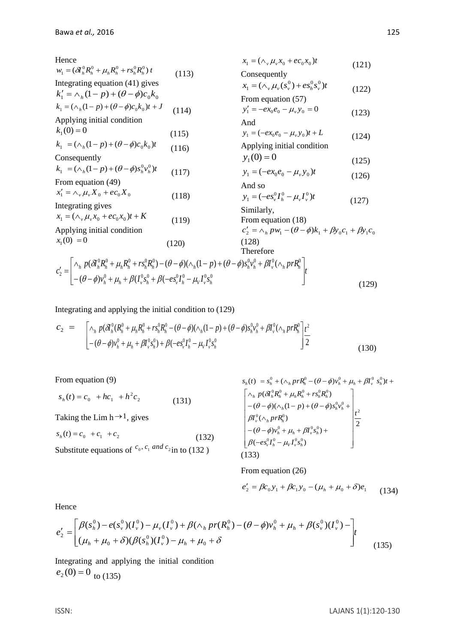| Hence                                                                                                                                                                                                                                                                                                                |       | $x_1 = (\wedge_v \mu_v x_0 + e c_0 x_0)t$                                                 | (121) |
|----------------------------------------------------------------------------------------------------------------------------------------------------------------------------------------------------------------------------------------------------------------------------------------------------------------------|-------|-------------------------------------------------------------------------------------------|-------|
| $W_1 = (\partial \Gamma_h^0 R_h^0 + \mu_k R_h^0 + r s_h^0 R_h^0) t$                                                                                                                                                                                                                                                  | (113) | Consequently                                                                              |       |
| Integrating equation (41) gives                                                                                                                                                                                                                                                                                      |       | $x_1 = (\wedge_v \mu_v(s_v^0) + \varepsilon s_v^0 s_v^0)t$                                |       |
| $k'_1 = \wedge_{k} (1-p) + (\theta - \phi) c_0 k_0$                                                                                                                                                                                                                                                                  |       | From equation (57)                                                                        | (122) |
| $k_1 = (\wedge_h (1-p) + (\theta - \phi)c_0 k_0)t + J$                                                                                                                                                                                                                                                               | (114) | $y'_1 = -e x_0 e_0 - \mu_v y_0 = 0$                                                       | (123) |
| Applying initial condition                                                                                                                                                                                                                                                                                           |       | And                                                                                       |       |
| $k_1(0) = 0$                                                                                                                                                                                                                                                                                                         | (115) | $y_1 = (-e x_0 e_0 - \mu_v y_0)t + L$                                                     | (124) |
| $k_1 = (\wedge_h (1-p) + (\theta - \phi)c_0 k_0)t$                                                                                                                                                                                                                                                                   | (116) | Applying initial condition                                                                |       |
| Consequently                                                                                                                                                                                                                                                                                                         |       | $y_1(0) = 0$                                                                              | (125) |
| $k_1 = (\wedge_h(1-p) + (\theta - \phi)s_h^0v_h^0)t$                                                                                                                                                                                                                                                                 | (117) | $y_1 = (-ex_0e_0 - \mu_v y_0)t$                                                           |       |
| From equation (49)                                                                                                                                                                                                                                                                                                   |       | And so                                                                                    | (126) |
| $x'_1 = \wedge_v \mu_v X_0 + e c_0 X_0$                                                                                                                                                                                                                                                                              | (118) | $y_1 = (-eS_v^0 I_h^0 - \mu_u I_v^0)t$                                                    |       |
| Integrating gives                                                                                                                                                                                                                                                                                                    |       | Similarly,                                                                                | (127) |
| $x_1 = (\wedge_v \mu_v x_0 + ec_0 x_0)t + K$                                                                                                                                                                                                                                                                         | (119) | From equation (18)                                                                        |       |
| Applying initial condition                                                                                                                                                                                                                                                                                           |       | $c'_{2} = \wedge_{h} pw_{1} - (\theta - \phi)k_{1} + \beta y_{0}c_{1} + \beta y_{1}c_{0}$ |       |
| $x_1(0) = 0$                                                                                                                                                                                                                                                                                                         | (120) | (128)                                                                                     |       |
|                                                                                                                                                                                                                                                                                                                      |       | Therefore                                                                                 |       |
|                                                                                                                                                                                                                                                                                                                      |       |                                                                                           |       |
| $c'_2 = \begin{vmatrix} \wedge_h p(\partial h_h^0 R_h^0 + \mu_h R_h^0 + r s_h^0 R_h^0) - (\theta - \phi)(\wedge_h (1 - p) + (\theta - \phi)s_h^0 v_h^0 + \beta I_v^0 (\wedge_h pr R_h^0)) \\ - (\theta - \phi)v_h^0 + \mu_h + \beta (I_v^0 s_h^0 + \beta (-\epsilon s_v^0 I_h^0 - \mu_V I_v^0 s_h^0)) \end{vmatrix}$ |       |                                                                                           | (120) |

Integrating and applying the initial condition to (129)

 $[-(\theta - \phi)v_h^0 + \mu_h + \beta(I_v^0 s_h^0 + \beta(-es_v^0 I_h^0 -$ 

$$
c_2 = \begin{bmatrix} \wedge_h p(\delta I_h^0 (R_h^0 + \mu_h R_h^0 + r s_h^0 R_h^0 - (\theta - \phi) (\wedge_h (1 - p) + (\theta - \phi) s_h^0 v_h^0 + \beta I_v^0 (\wedge_h p r R_h^0)) \\ -(\theta - \phi) v_h^0 + \mu_h + \beta I_v^0 s_h^0) + \beta (-e s_v^0 I_h^0 - \mu_V I_v^0 s_h^0) \end{bmatrix} \frac{1}{2}
$$
(130)

From equation (9)

$$
s_h(t) = c_0 + hc_1 + h^2 c_2 \tag{131}
$$

Taking the Lim  $h \rightarrow 1$ , gives

$$
s_h(t) = c_0 + c_1 + c_2 \tag{132}
$$

Substitute equations of  $c_0$ ,  $c_1$  and  $c_2$  in to (132)

$$
s_h(t) = s_h^0 + (\wedge_h prR_h^0 - (\theta - \phi)v_h^0 + \mu_h + \beta I_v^0 s_h^0)t +
$$
  
\n
$$
\begin{bmatrix}\n\wedge_h p(\delta A_h^0 R_h^0 + \mu_h R_h^0 + rs_h^0 R_h^0) \\
-(\theta - \phi)(\wedge_h (1 - p) + (\theta - \phi)s_h^0 v_h^0 + )\n\vdots \\
\beta I_v^0(\wedge_h prR_h^0) \\
-(\theta - \phi)v_h^0 + \mu_h + \beta I_v^0 s_h^0) + \\
\beta(-es_v^0 I_h^0 - \mu_V I_v^0 s_h^0)\n\end{bmatrix} \frac{t^2}{2}
$$

J

(129)

From equation (26)

$$
e_2' = \beta c_0 y_1 + \beta c_1 y_0 - (\mu_h + \mu_0 + \delta) e_1
$$
 (134)

Hence

$$
e'_{2} = \left[ \frac{\beta(s_{h}^{0}) - e(s_{v}^{0})(I_{v}^{0}) - \mu_{v}(I_{v}^{0}) + \beta(\wedge_{h}pr(R_{h}^{0}) - (\theta - \phi)v_{h}^{0} + \mu_{h} + \beta(s_{v}^{0})(I_{v}^{0}) - \mu_{h} + \mu_{0} + \delta(\mu_{h} + \phi)(\beta(s_{h}^{0})(I_{v}^{0}) - \mu_{h} + \mu_{0} + \delta)\right]
$$
\n(135)

Integrating and applying the initial condition  $e_2(0) = 0$  to (135)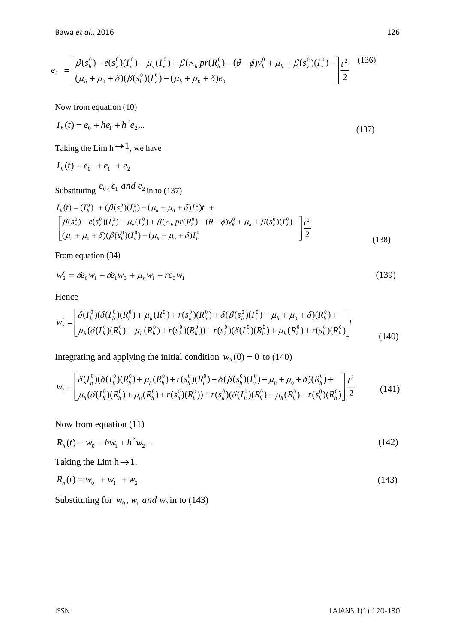$$
e_2 = \left[ \frac{\beta(s_h^0) - e(s_v^0)(I_v^0) - \mu_v(I_v^0) + \beta(\Lambda_h pr(R_h^0) - (\theta - \phi)v_h^0 + \mu_h + \beta(s_v^0)(I_v^0) - \mu_h}{(\mu_h + \mu_0 + \delta)(\beta(s_h^0)(I_v^0) - (\mu_h + \mu_0 + \delta)e_0)} \right] \frac{t^2}{2}
$$
(136)

Now from equation (10)

$$
I_h(t) = e_0 + he_1 + h^2 e_2 \dots \tag{137}
$$

Taking the Lim h  $\rightarrow$  1, we have

$$
I_h(t) = e_0 + e_1 + e_2
$$

Substituting  $e_0$ ,  $e_1$  and  $e_2$  in to (137)

$$
I_h(t) = (I_h^0) + (\beta(s_h^0)(I_h^0) - (\mu_h + \mu_0 + \delta)I_h^0)t +
$$
  
\n
$$
\begin{bmatrix}\n\beta(s_h^0) - e(s_v^0)(I_v^0) - \mu_v(I_v^0) + \beta(\Lambda_h pr(R_h^0) - (\theta - \phi)v_h^0 + \mu_h + \beta(s_v^0)(I_v^0) - \frac{t^2}{2} \\
(\mu_h + \mu_0 + \delta)(\beta(s_h^0)(I_v^0) - (\mu_h + \mu_0 + \delta)I_h^0\n\end{bmatrix} \frac{t^2}{2}
$$
\n(138)

From equation (34)

$$
w_2' = \delta e_0 w_1 + \delta e_1 w_0 + \mu_h w_1 + r c_0 w_1 \tag{139}
$$

Hence

$$
w'_{2} = \left[ \frac{\delta(I_{h}^{0})(\delta(I_{h}^{0})(R_{h}^{0}) + \mu_{h}(R_{h}^{0}) + r(s_{h}^{0})(R_{h}^{0}) + \delta(\beta(s_{h}^{0})(I_{v}^{0}) - \mu_{h} + \mu_{0} + \delta)(R_{h}^{0}) +}{\mu_{h}(\delta(I_{h}^{0})(R_{h}^{0}) + \mu_{h}(R_{h}^{0}) + r(s_{h}^{0})(R_{h}^{0})) + r(s_{h}^{0})(\delta(I_{h}^{0})(R_{h}^{0}) + \mu_{h}(R_{h}^{0}) + r(s_{h}^{0})(R_{h}^{0})} \right]^{t}
$$
(140)

Integrating and applying the initial condition  $w_2(0) = 0$  to (140)

$$
w_2 = \left[ \frac{\delta(I_h^0)(\delta(I_h^0)(R_h^0) + \mu_h(R_h^0) + r(s_h^0)(R_h^0) + \delta(\beta(s_h^0)(I_v^0) - \mu_h + \mu_0 + \delta)(R_h^0) + \mu_h(\delta(I_h^0)(R_h^0) + \mu_h(\delta(I_h^0)(R_h^0) + r(s_h^0)(R_h^0)) + r(s_h^0)(\delta(I_h^0)(R_h^0) + \mu_h(R_h^0) + r(s_h^0)(R_h^0) \right] \frac{t^2}{2} \tag{141}
$$

Now from equation (11)

$$
R_h(t) = w_0 + hw_1 + h^2 w_2 \dots \tag{142}
$$

Taking the Lim  $h \rightarrow 1$ ,

$$
R_h(t) = w_0 + w_1 + w_2 \tag{143}
$$

Substituting for  $w_0$ ,  $w_1$  *and*  $w_2$  in to (143)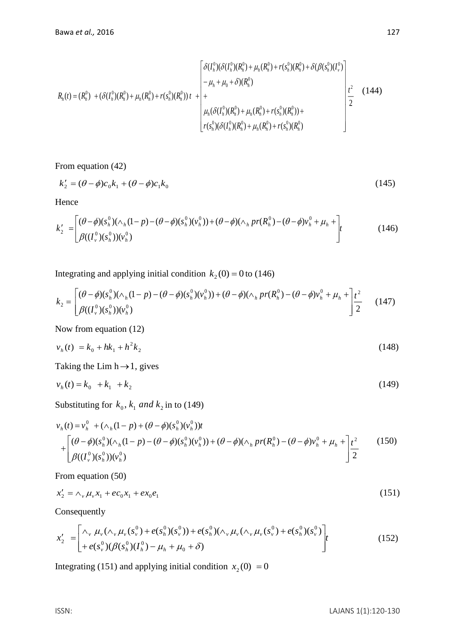$$
R_h(t) = (R_h^0) + (\delta(I_h^0)(R_h^0) + \mu_h(R_h^0) + r(s_h^0)(R_h^0))t + \begin{bmatrix} \delta(I_h^0)(\delta(I_h^0)(R_h^0) + \mu_h(R_h^0) + r(s_h^0)(R_h^0) + \delta(\beta(s_h^0)(I_v^0)) \\ - \mu_h + \mu_0 + \delta)(R_h^0) \\ + \mu_h(\delta(I_h^0)(R_h^0) + \mu_h(R_h^0) + r(s_h^0)(R_h^0)) + \frac{1}{2} \\ \mu_h(\delta(I_h^0)(R_h^0) + \mu_h(R_h^0) + r(s_h^0)(R_h^0)) + \frac{1}{2} \end{bmatrix} \frac{t^2}{2}
$$
(144)

From equation (42)

$$
k_2' = (\theta - \phi)c_0 k_1 + (\theta - \phi)c_1 k_0 \tag{145}
$$

Hence

$$
k_2' = \left[ \frac{(\theta - \phi)(s_h^0)(\wedge_h(1 - p) - (\theta - \phi)(s_h^0)(v_h^0)) + (\theta - \phi)(\wedge_h pr(R_h^0) - (\theta - \phi)v_h^0 + \mu_h + \right]_t}{\beta((I_v^0)(s_h^0))(v_h^0)}
$$
(146)

Integrating and applying initial condition  $k_2(0) = 0$  to (146)

$$
k_2 = \begin{bmatrix} (\theta - \phi)(s_h^0)(\wedge_h(1 - p) - (\theta - \phi)(s_h^0)(v_h^0)) + (\theta - \phi)(\wedge_h pr(R_h^0) - (\theta - \phi)v_h^0 + \mu_h + \frac{\theta^2}{2} \\ \beta((I_v^0)(s_h^0))(v_h^0) \end{bmatrix} (147)
$$

Now from equation (12)

$$
v_h(t) = k_0 + hk_1 + h^2 k_2 \tag{148}
$$

Taking the Lim  $h \rightarrow 1$ , gives

$$
v_h(t) = k_0 + k_1 + k_2 \tag{149}
$$

Substituting for  $k_0$ ,  $k_1$  *and*  $k_2$  in to (149)

$$
v_h(t) = v_h^0 + (\Lambda_h (1 - p) + (\theta - \phi)(s_h^0)(v_h^0))t + \left[ \frac{(\theta - \phi)(s_h^0)(\Lambda_h (1 - p) - (\theta - \phi)(s_h^0)(v_h^0)) + (\theta - \phi)(\Lambda_h pr(R_h^0) - (\theta - \phi)v_h^0 + \mu_h + \right] \frac{t^2}{2} \tag{150} \beta((I_v^0)(s_h^0))(v_h^0)
$$

From equation (50)

$$
x_2' = \wedge_v \mu_v x_1 + e c_0 x_1 + e x_0 e_1 \tag{151}
$$

Consequently

$$
x'_{2} = \left[\begin{matrix} \wedge_{\nu} \mu_{\nu}(\wedge_{\nu} \mu_{\nu}(s_{\nu}^{0}) + e(s_{h}^{0})(s_{\nu}^{0})) + e(s_{h}^{0})(\wedge_{\nu} \mu_{\nu}(\wedge_{\nu} \mu_{\nu}(s_{\nu}^{0}) + e(s_{h}^{0})(s_{\nu}^{0})) \\ + e(s_{\nu}^{0})(\beta(s_{h}^{0})(I_{h}^{0}) - \mu_{h} + \mu_{0} + \delta)\end{matrix}\right] t
$$
\n(152)

Integrating (151) and applying initial condition  $x_2(0) = 0$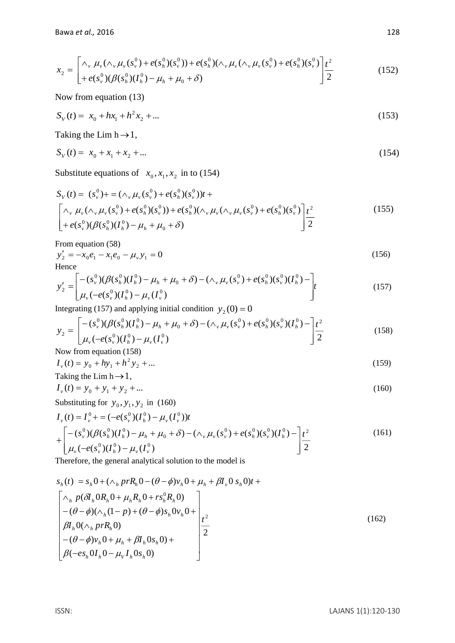$$
x_2 = \left[ \begin{matrix} \wedge_v \mu_v (\wedge_v \mu_v (s_v^0) + e(s_h^0)(s_v^0)) + e(s_h^0)(\wedge_v \mu_v (\wedge_v \mu_v (s_v^0) + e(s_h^0)(s_v^0)) \\ + e(s_v^0)(\beta(s_h^0)(I_h^0) - \mu_h + \mu_0 + \delta) \end{matrix} \right] \frac{t^2}{2}
$$
(152)

Now from equation (13)

$$
S_V(t) = x_0 + hx_1 + h^2 x_2 + \dots \tag{153}
$$

Taking the Lim  $h \rightarrow 1$ ,

$$
S_V(t) = x_0 + x_1 + x_2 + \dots \tag{154}
$$

Substitute equations of  $x_0, x_1, x_2$  in to (154)

$$
S_V(t) = (s_v^0) + = (\wedge_v \mu_v(s_v^0) + e(s_h^0)(s_v^0))t +
$$
  
\n
$$
\begin{bmatrix}\n\wedge_v \mu_v(\wedge_v \mu_v(s_v^0) + e(s_h^0)(s_v^0)) + e(s_h^0)(\wedge_v \mu_v(\wedge_v \mu_v(s_v^0) + e(s_h^0)(s_v^0))\\
+ e(s_v^0)(\beta(s_h^0)(I_h^0) - \mu_h + \mu_0 + \delta)\n\end{bmatrix} \frac{t^2}{2}
$$
\n(155)

From equation (58)

$$
y_2' = -x_0 e_1 - x_1 e_0 - \mu_v y_1 = 0
$$
\nHence

\n
$$
(156)
$$

$$
y_2' = \left[ \begin{matrix} -(s_v^0)(\beta(s_h^0)(I_h^0) - \mu_h + \mu_0 + \delta) - (\wedge_v \mu_v(s_v^0) + e(s_h^0)(s_v^0)(I_h^0) - \\ \mu_v(-e(s_v^0)(I_h^0) - \mu_v(I_v^0)) \end{matrix} \right] t \tag{157}
$$

Integrating (157) and applying initial condition  $y_2(0) = 0$ 

$$
y_2 = \left[ \frac{-(s_v^0)(\beta(s_h^0)(I_h^0) - \mu_h + \mu_0 + \delta) - (\wedge_v \mu_v(s_v^0) + e(s_h^0)(s_v^0)(I_h^0) - \right]t^2}{\mu_v(-e(s_v^0)(I_h^0) - \mu_v(I_v^0)}
$$
(158)

Now from equation (158)

$$
I_{\nu}(t) = y_0 + hy_1 + h^2 y_2 + \dots \tag{159}
$$

Taking the Lim h
$$
\rightarrow
$$
 1,  
\n $I_y(t) = y_0 + y_1 + y_2 + ...$  (160)

Substituting for 
$$
y_0, y_1, y_2
$$
 in (160)

$$
I_{\nu}(t) = I_{\nu}^{0} + \left[ -(\varepsilon_{\nu}^{0})(I_{h}^{0}) - \mu_{\nu}(I_{\nu}^{0}))t + \left[ -(\varepsilon_{\nu}^{0})(\beta(s_{h}^{0})(I_{h}^{0}) - \mu_{h} + \mu_{0} + \delta) - (\wedge_{\nu} \mu_{\nu}(s_{\nu}^{0}) + \varepsilon(s_{h}^{0})(s_{\nu}^{0})(I_{h}^{0}) - \right] \frac{t^{2}}{2}
$$
\n
$$
(161)
$$

Therefore, the general analytical solution to the model is

$$
s_h(t) = s_h 0 + (\wedge_h prR_h 0 - (\theta - \phi)v_h 0 + \mu_h + \beta I_v 0 s_h 0)t +
$$
  
\n
$$
\begin{bmatrix}\n\wedge_h p(\delta I_h 0R_h 0 + \mu_h R_h 0 + rs_h^0 R_h 0) \\
-(\theta - \phi)(\wedge_h (1 - p) + (\theta - \phi)s_h 0v_h 0 + \\
\beta I_h 0(\wedge_h prR_h 0) \\
-(\theta - \phi)v_h 0 + \mu_h + \beta I_h 0s_h 0) + \\
\beta(-es_h 0I_h 0 - \mu_V I_h 0s_h 0)\n\end{bmatrix} t^2
$$
\n(162)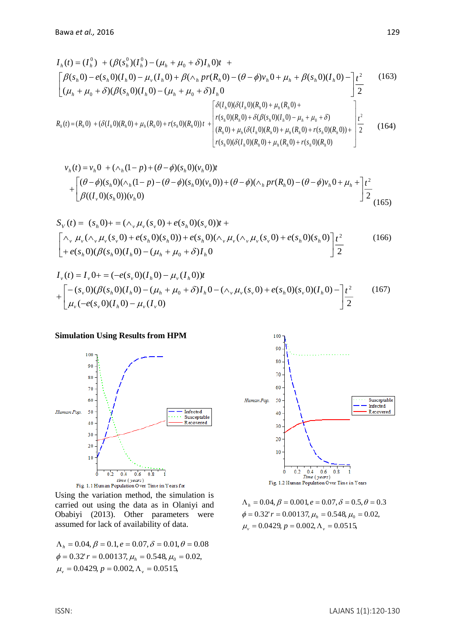$$
I_{h}(t) = (I_{h}^{0}) + (\beta(s_{h}^{0})(I_{h}^{0}) - (\mu_{h} + \mu_{0} + \delta)I_{h}0)t +
$$
\n
$$
\begin{bmatrix}\n\beta(s_{h}0) - e(s_{h}0)(I_{h}0) - \mu_{v}(I_{h}0) + \beta(\wedge_{h}pr(R_{h}0) - (\theta - \phi)v_{h}0 + \mu_{h} + \beta(s_{h}0)(I_{h}0) - t^{2} \\
(\mu_{h} + \mu_{0} + \delta)(\beta(s_{h}0)(I_{h}0) - (\mu_{h} + \mu_{0} + \delta)I_{h}0\n\end{bmatrix}\n\begin{bmatrix}\n\delta(I_{h}0)(\delta(I_{h}0)(R_{h}0) + \mu_{h}(R_{h}0) + \mu_{h}(R_{h}0) + t^{2} \\
\delta(I_{h}0)(\delta(I_{h}0)(R_{h}0) + \mu_{h}(R_{h}0) + t^{2} \\
\delta(I_{h}0)(\delta(I_{h}0)(R_{h}0) + \delta(\beta(s_{h}0)(I_{h}0) - \mu_{h} + \mu_{0} + \delta) \\
\delta(I_{h}0)(R_{h}0) + \delta(\beta(s_{h}0)(I_{h}0) - \mu_{h} + \mu_{0} + \delta) \\
(R_{h}0) + \mu_{h}(\delta(I_{h}0)(R_{h}0) + \mu_{h}(R_{h}0) + r(s_{h}0)(R_{h}0)) + t^{2}\n\end{bmatrix}\n\begin{bmatrix}\n\delta(I_{h}0)(\delta(I_{h}0)(R_{h}0) + \delta(\beta(s_{h}0)(I_{h}0) - \mu_{h} + \mu_{0} + \delta) \\
\delta(I_{h}0)(R_{h}0)(R_{h}0) + \mu_{h}(R_{h}0) + r(s_{h}0)(R_{h}0)\n\end{bmatrix}.
$$
\n(164)

$$
v_h(t) = v_h 0 + (\wedge_h (1 - p) + (\theta - \phi)(s_h 0)(v_h 0))t
$$
  
+ 
$$
\begin{bmatrix} (\theta - \phi)(s_h 0)(\wedge_h (1 - p) - (\theta - \phi)(s_h 0)(v_h 0)) + (\theta - \phi)(\wedge_h pr(R_h 0) - (\theta - \phi)v_h 0 + \mu_h + \mu_h^2) \frac{t^2}{2} \\ \beta((I_v 0)(s_h 0))(v_h 0) \end{bmatrix}
$$
 (165)

$$
S_V(t) = (s_h 0) + (s_h \mu_v (s_v 0) + e(s_h 0)(s_v 0))t +
$$
  
\n
$$
\begin{bmatrix}\n\wedge_v \mu_v (\wedge_v \mu_v (s_v 0) + e(s_h 0)(s_h 0)) + e(s_h 0)(s_v \mu_v (\wedge_v \mu_v (s_v 0) + e(s_h 0)(s_h 0)) +\\
+ e(s_h 0)(\beta(s_h 0)(I_h 0) - (\mu_h + \mu_0 + \delta)I_h 0\n\end{bmatrix} \frac{t^2}{2}
$$
\n(166)

$$
I_{\nu}(t) = I_{\nu} 0 + \n= (-e(s_{\nu} 0)(I_{h} 0) - \mu_{\nu} (I_{h} 0))t\n+ \n\begin{bmatrix}\n-(s_{\nu} 0)(\beta(s_{h} 0)(I_{h} 0) - (\mu_{h} + \mu_{0} + \delta)I_{h} 0 - (\Lambda_{\nu} \mu_{\nu}(s_{\nu} 0) + e(s_{h} 0)(s_{\nu} 0)(I_{h} 0) - \frac{t^{2}}{2} \\
\mu_{\nu} (-e(s_{\nu} 0)(I_{h} 0) - \mu_{\nu} (I_{\nu} 0)\n\end{bmatrix} \tag{167}
$$

### **Simulation Using Results from HPM**



Using the variation method, the simulation is carried out using the data as in Olaniyi and Obabiyi (2013). Other parameters were assumed for lack of availability of data.

 $\mu_v = 0.0429, p = 0.002, \Lambda_v = 0.0515,$  $\phi = 0.32$ '  $r = 0.00137$ ,  $\mu_h = 0.548$ ,  $\mu_0 = 0.02$ ,  $\Lambda_h^{} = 0.04, \beta = 0.1, e = 0.07, \delta = 0.01, \theta = 0.08$ 



 $\mu_v = 0.0429, p = 0.002, \Lambda_v = 0.0515,$  $\phi = 0.32$ '  $r = 0.00137$ ,  $\mu_h = 0.548$ ,  $\mu_0 = 0.02$ ,  $\Lambda_h = 0.04, \beta = 0.001, e = 0.07, \delta = 0.5, \theta = 0.3$